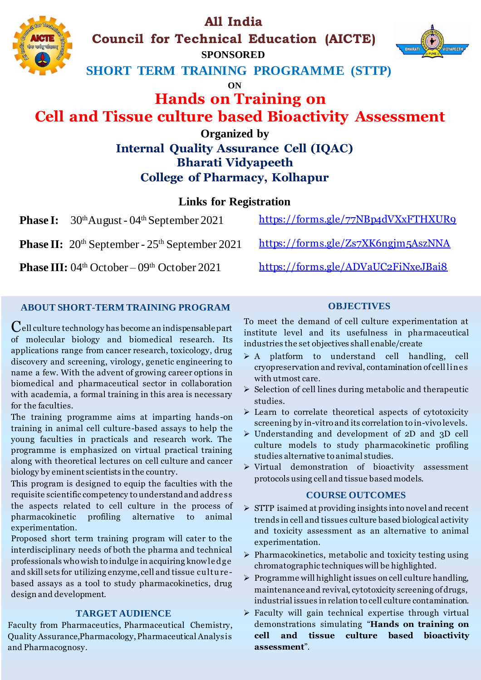# **All India**

**Council for Technical Education (AICTE)**

**SPONSORED**

**SHORT TERM TRAINING PROGRAMME (STTP)**

**ON**

# **Hands on Training on Cell and Tissue culture based Bioactivity Assessment**

### **Organized by Internal Quality Assurance Cell (IQAC) Bharati Vidyapeeth College of Pharmacy, Kolhapur**

### **Links for Registration**

**Phase I:**  $30<sup>th</sup>$ August - 04<sup>th</sup> September 2021

**Phase II:** 20<sup>th</sup> September - 25<sup>th</sup> September 2021

**Phase III:** 04<sup>th</sup> October – 09<sup>th</sup> October 2021 https://forms.gle/ADVaUC2FiNxeJBai8

<https://forms.gle/77NBp4dVXxFTHXUR9>

https://forms.gle/Zs7XK6ngjm5AszNNA

### **ABOUT SHORT-TERM TRAINING PROGRAM**

 $\mathbf C$ ell culture technology has become an indispensable part of molecular biology and biomedical research. Its applications range from cancer research, toxicology, drug discovery and screening, virology, genetic engineering to name a few. With the advent of growing career options in biomedical and pharmaceutical sector in collaboration with academia, a formal training in this area is necessary for the faculties.

The training programme aims at imparting hands-on training in animal cell culture-based assays to help the young faculties in practicals and research work. The programme is emphasized on virtual practical training along with theoretical lectures on cell culture and cancer biology by eminent scientists in the country.

This program is designed to equip the faculties with the requisite scientific competency to understand and addre ss the aspects related to cell culture in the process of pharmacokinetic profiling alternative to animal experimentation.

Proposed short term training program will cater to the interdisciplinary needs of both the pharma and technical professionals who wish to indulge in acquiring knowle dge and skill sets for utilizing enzyme, cell and tissue culture based assays as a tool to study pharmacokinetics, drug design and development.

### **TARGET AUDIENCE**

Faculty from Pharmaceutics, Pharmaceutical Chemistry, Quality Assurance, Pharmacology,Pharmaceutical Analysis and Pharmacognosy.

#### To meet the demand of cell culture experimentation at institute level and its usefulness in pharmaceutical industries the set objectives shall enable/create

**OBJECTIVES**

- ➢ A platform to understand cell handling, cell cryopreservation and revival, contamination of cell line s with utmost care.
- ➢ Selection of cell lines during metabolic and therapeutic studies.
- ➢ Learn to correlate theoretical aspects of cytotoxicity screening by in-vitro and its correlation to in-vivo levels.
- ➢ Understanding and development of 2D and 3D cell culture models to study pharmacokinetic profiling studies alternative to animal studies.
- ➢ Virtual demonstration of bioactivity assessment protocols using cell and tissue based models.

#### **COURSE OUTCOMES**

- ➢ STTP isaimed at providing insights into novel and recent trends in cell and tissues culture based biological activity and toxicity assessment as an alternative to animal experimentation.
- ➢ Pharmacokinetics, metabolic and toxicity testing using chromatographic techniques will be highlighted.
- ➢ Programme will highlight issues on cell culture handling, maintenance and revival, cytotoxicity screening of drugs, industrial issues in relation to cell culture contamination.
- ➢ Faculty will gain technical expertise through virtual demonstrations simulating "**Hands on training on cell and tissue culture based bioactivity assessment**".



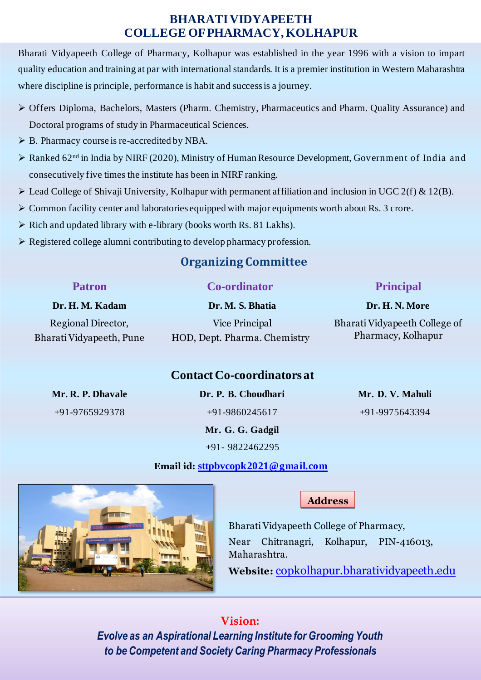### **BHARATI VIDYAPEETH COLLEGE OF PHARMACY, KOLHAPUR**

Bharati Vidyapeeth College of Pharmacy, Kolhapur was established in the year 1996 with a vision to impart quality education and training at par with international standards. It is a premier institution in Western Maharashtra where discipline is principle, performance is habit and success is a journey.

- ➢ Offers Diploma, Bachelors, Masters (Pharm. Chemistry, Pharmaceutics and Pharm. Quality Assurance) and Doctoral programs of study in Pharmaceutical Sciences.
- ➢ B. Pharmacy course is re-accredited by NBA.
- ➢ Ranked 62 nd in India by NIRF (2020), Ministry of Human Resource Development, Government of India and consecutively five times the institute has been in NIRF ranking.
- $\triangleright$  Lead College of Shivaji University, Kolhapur with permanent affiliation and inclusion in UGC 2(f) & 12(B).
- ➢ Common facility center and laboratories equipped with major equipments worth about Rs. 3 crore.
- ➢ Rich and updated library with e-library (books worth Rs. 81 Lakhs).
- ➢ Registered college alumni contributing to develop pharmacy profession.

## **Organizing Committee**

| <b>Patron</b>            | <b>Co-ordinator</b>          | <b>Principal</b>              |
|--------------------------|------------------------------|-------------------------------|
| Dr. H. M. Kadam          | Dr. M. S. Bhatia             | Dr. H. N. More                |
| Regional Director,       | Vice Principal               | Bharati Vidyapeeth College of |
| Bharati Vidyapeeth, Pune | HOD, Dept. Pharma. Chemistry | Pharmacy, Kolhapur            |
|                          |                              |                               |

### **Contact Co-coordinators at**

**Mr. R. P. Dhavale Dr. P. B. Choudhari Mr. D. V. Mahuli**

+91-9765929378 +91-9860245617 +91-9975643394 **Mr. G. G. Gadgil** +91- 9822462295



### **Email id: [sttpbvcopk2021@gmail.com](mailto:sttpbvcopk2021@gmail.com)**

**Address :**

Bharati Vidyapeeth College of Pharmacy, Near Chitranagri, Kolhapur, PIN-416013, Maharashtra.

**Website:** [copkolhapur.bharatividyapeeth.edu](mailto:copkolhapur@bharatividyapeeth.edu)

# **Vision:**

*Evolve as an Aspirational Learning Institute for Grooming Youth to be Competent and Society Caring Pharmacy Professionals*